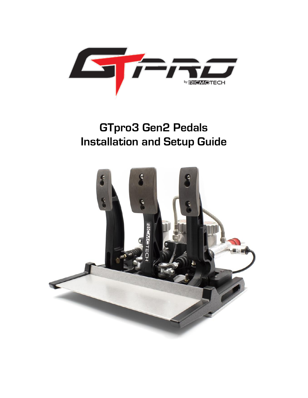

# **GTpro3 Gen2 Pedals Installation and Setup Guide**

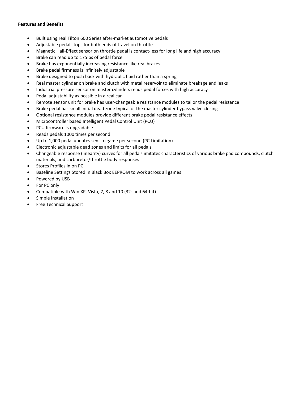#### **Features and Benefits**

- Built using real Tilton 600 Series after-market automotive pedals
- Adjustable pedal stops for both ends of travel on throttle
- Magnetic Hall-Effect sensor on throttle pedal is contact-less for long life and high accuracy
- Brake can read up to 175lbs of pedal force
- Brake has exponentially increasing resistance like real brakes
- Brake pedal firmness is infinitely adjustable
- Brake designed to push back with hydraulic fluid rather than a spring
- Real master cylinder on brake and clutch with metal reservoir to eliminate breakage and leaks
- Industrial pressure sensor on master cylinders reads pedal forces with high accuracy
- Pedal adjustability as possible in a real car
- Remote sensor unit for brake has user-changeable resistance modules to tailor the pedal resistance
- Brake pedal has small initial dead zone typical of the master cylinder bypass valve closing
- Optional resistance modules provide different brake pedal resistance effects
- Microcontroller based Intelligent Pedal Control Unit (PCU)
- PCU firmware is upgradable
- Reads pedals 1000 times per second
- Up to 1,000 pedal updates sent to game per second (PC Limitation)
- Electronic adjustable dead zones and limits for all pedals
- Changeable response (linearity) curves for all pedals imitates characteristics of various brake pad compounds, clutch materials, and carburetor/throttle body responses
- Stores Profiles in on PC
- Baseline Settings Stored In Black Box EEPROM to work across all games
- Powered by USB
- For PC only
- Compatible with Win XP, Vista, 7, 8 and 10 (32- and 64-bit)
- Simple Installation
- Free Technical Support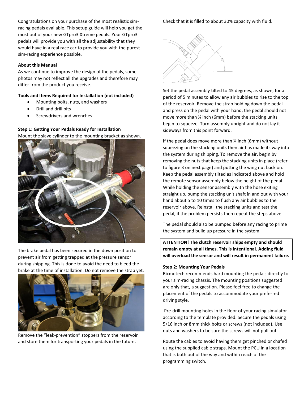Congratulations on your purchase of the most realistic simracing pedals available. This setup guide will help you get the most out of your new GTpro3 Xtreme pedals. Your GTpro3 pedals will provide you with all the adjustability that they would have in a real race car to provide you with the purest sim-racing experience possible.

#### **About this Manual**

As we continue to improve the design of the pedals, some photos may not reflect all the upgrades and therefore may differ from the product you receive.

### **Tools and Items Required for Installation (not included)**

- Mounting bolts, nuts, and washers
- Drill and drill bits
- Screwdrivers and wrenches

**Step 1: Getting Your Pedals Ready for Installation** Mount the slave cylinder to the mounting bracket as shown.



The brake pedal has been secured in the down position to prevent air from getting trapped at the pressure sensor during shipping. This is done to avoid the need to bleed the brake at the time of installation. Do not remove the strap yet.



Remove the "leak-prevention" stoppers from the reservoir and store them for transporting your pedals in the future.

Check that it is filled to about 30% capacity with fluid.



Set the pedal assembly tilted to 45 degrees, as shown, for a period of 5 minutes to allow any air bubbles to rise to the top of the reservoir. Remove the strap holding down the pedal and press on the pedal with your hand, the pedal should not move more than ¼ inch (6mm) before the stacking units begin to squeeze. Turn assembly upright and do not lay it sideways from this point forward.

If the pedal does move more than ¼ inch (6mm) without squeezing on the stacking units then air has made its way into the system during shipping. To remove the air, begin by removing the nuts that keep the stacking units in place (refer to figure 3 on next page) and putting the wing nut back on. Keep the pedal assembly tilted as indicated above and hold the remote sensor assembly below the height of the pedal. While holding the sensor assembly with the hose exiting straight up, pump the stacking unit shaft in and out with your hand about 5 to 10 times to flush any air bubbles to the reservoir above. Reinstall the stacking units and test the pedal, if the problem persists then repeat the steps above.

The pedal should also be pumped before any racing to prime the system and build up pressure in the system.

**ATTENTION! The clutch reservoir ships empty and should remain empty at all times. This is intentional. Adding fluid will overload the sensor and will result in permanent failure.** 

#### **Step 2: Mounting Your Pedals**

Ricmotech recommends hard mounting the pedals directly to your sim-racing chassis. The mounting positions suggested are only that, a suggestion. Please feel free to change the placement of the pedals to accommodate your preferred driving style.

Pre-drill mounting holes in the floor of your racing simulator according to the template provided. Secure the pedals using 5/16 inch or 8mm thick bolts or screws (not included). Use nuts and washers to be sure the screws will not pull out.

Route the cables to avoid having them get pinched or chafed using the supplied cable straps. Mount the PCU in a location that is both out of the way and within reach of the programming switch.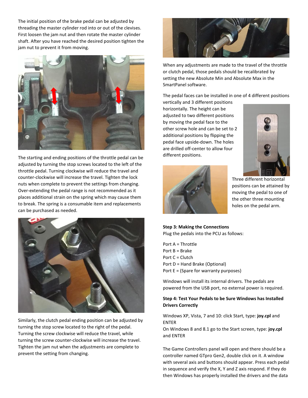The initial position of the brake pedal can be adjusted by threading the master cylinder rod into or out of the clevises. First loosen the jam nut and then rotate the master cylinder shaft. After you have reached the desired position tighten the jam nut to prevent it from moving.



The starting and ending positions of the throttle pedal can be adjusted by turning the stop screws located to the left of the throttle pedal. Turning clockwise will reduce the travel and counter-clockwise will increase the travel. Tighten the lock nuts when complete to prevent the settings from changing. Over-extending the pedal range is not recommended as it places additional strain on the spring which may cause them to break. The spring is a consumable item and replacements can be purchased as needed.



Similarly, the clutch pedal ending position can be adjusted by turning the stop screw located to the right of the pedal. Turning the screw clockwise will reduce the travel, while turning the screw counter-clockwise will increase the travel. Tighten the jam nut when the adjustments are complete to prevent the setting from changing.



When any adjustments are made to the travel of the throttle or clutch pedal, those pedals should be recalibrated by setting the new Absolute Min and Absolute Max in the SmartPanel software.

The pedal faces can be installed in one of 4 different positions

vertically and 3 different positions horizontally. The height can be adjusted to two different positions by moving the pedal face to the other screw hole and can be set to 2 additional positions by flipping the pedal face upside-down. The holes are drilled off-center to allow four different positions.





Three different horizontal positions can be attained by moving the pedal to one of the other three mounting holes on the pedal arm.

**Step 3: Making the Connections** Plug the pedals into the PCU as follows:

Port A = Throttle Port B = Brake Port C = Clutch Port D = Hand Brake (Optional) Port E = (Spare for warranty purposes)

Windows will install its internal drivers. The pedals are powered from the USB port, no external power is required.

## **Step 4: Test Your Pedals to be Sure Windows has Installed Drivers Correctly**

Windows XP, Vista, 7 and 10: click Start, type: **joy.cpl** and ENTER

On Windows 8 and 8.1 go to the Start screen, type: **joy.cpl** and ENTER

The Game Controllers panel will open and there should be a controller named GTpro Gen2, double click on it. A window with several axis and buttons should appear. Press each pedal in sequence and verify the X, Y and Z axis respond. If they do then Windows has properly installed the drivers and the data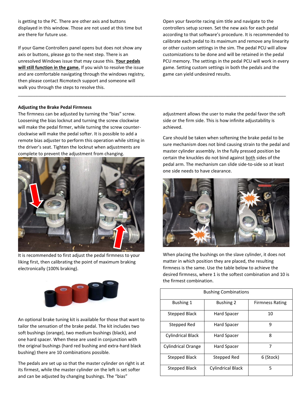is getting to the PC. There are other axis and buttons displayed in this window. Those are not used at this time but are there for future use.

If your Game Controllers panel opens but does not show any axis or buttons, please go to the next step. There is an unresolved Windows issue that may cause this. **Your pedals will still function in the game.** If you wish to resolve the issue and are comfortable navigating through the windows registry, then please contact Ricmotech support and someone will walk you through the steps to resolve this.

\_\_\_\_\_\_\_\_\_\_\_\_\_\_\_\_\_\_\_\_\_\_\_\_\_\_\_\_\_\_\_\_\_\_\_\_\_\_\_\_\_\_\_\_\_\_\_\_\_\_\_\_\_\_\_\_\_\_\_\_\_\_\_\_\_\_\_\_\_\_\_\_\_\_\_\_\_\_\_\_\_\_\_\_\_\_\_\_\_\_\_\_\_\_\_\_\_\_\_\_\_\_\_\_\_\_\_

Open your favorite racing sim title and navigate to the controllers setup screen. Set the new axis for each pedal according to that software's procedure. It is recommended to calibrate each pedal to its maximum and remove any linearity or other custom settings in the sim. The pedal PCU will allow customizations to be done and will be retained in the pedal PCU memory. The settings in the pedal PCU will work in every game. Setting custom settings in both the pedals and the game can yield undesired results.

#### **Adjusting the Brake Pedal Firmness**

The firmness can be adjusted by turning the "bias" screw. Loosening the bias locknut and turning the screw clockwise will make the pedal firmer, while turning the screw counterclockwise will make the pedal softer. It is possible to add a remote bias adjuster to perform this operation while sitting in the driver's seat. Tighten the locknut when adjustments are complete to prevent the adjustment from changing.



It is recommended to first adjust the pedal firmness to your liking first, then calibrating the point of maximum braking electronically (100% braking).



An optional brake tuning kit is available for those that want to tailor the sensation of the brake pedal. The kit includes two soft bushings (orange), two medium bushings (black), and one hard spacer. When these are used in conjunction with the original bushings (hard red bushing and extra-hard black bushing) there are 10 combinations possible.

The pedals are set up so that the master cylinder on right is at its firmest, while the master cylinder on the left is set softer and can be adjusted by changing bushings. The "bias"

adjustment allows the user to make the pedal favor the soft side or the firm side. This is how infinite adjustability is achieved.

Care should be taken when softening the brake pedal to be sure mechanism does not bind causing strain to the pedal and master cylinder assembly. In the fully pressed position be certain the knuckles do not bind against both sides of the pedal arm. The mechanism can slide side-to-side so at least one side needs to have clearance.



When placing the bushings on the slave cylinder, it does not matter in which position they are placed, the resulting firmness is the same. Use the table below to achieve the desired firmness, where 1 is the softest combination and 10 is the firmest combination.

| <b>Bushing Combinations</b> |                   |                        |
|-----------------------------|-------------------|------------------------|
| <b>Bushing 1</b>            | <b>Bushing 2</b>  | <b>Firmness Rating</b> |
| Stepped Black               | Hard Spacer       | 10                     |
| Stepped Red                 | Hard Spacer       | 9                      |
| <b>Cylindrical Black</b>    | Hard Spacer       | 8                      |
| <b>Cylindrical Orange</b>   | Hard Spacer       | 7                      |
| <b>Stepped Black</b>        | Stepped Red       | 6 (Stock)              |
| Stepped Black               | Cylindrical Black | 5                      |